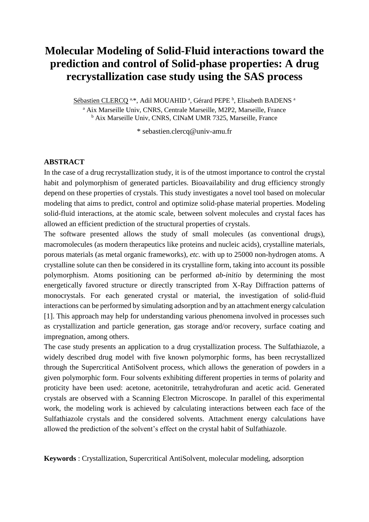# **Molecular Modeling of Solid-Fluid interactions toward the prediction and control of Solid-phase properties: A drug recrystallization case study using the SAS process**

Sébastien CLERCQ<sup>a,\*</sup>, Adil MOUAHID<sup>a</sup>, Gérard PEPE<sup>b</sup>, Elisabeth BADENS<sup>a</sup> <sup>a</sup> Aix Marseille Univ, CNRS, Centrale Marseille, M2P2, Marseille, France <sup>b</sup> Aix Marseille Univ, CNRS, CINaM UMR 7325, Marseille, France

\* sebastien.clercq@univ-amu.fr

## **ABSTRACT**

In the case of a drug recrystallization study, it is of the utmost importance to control the crystal habit and polymorphism of generated particles. Bioavailability and drug efficiency strongly depend on these properties of crystals. This study investigates a novel tool based on molecular modeling that aims to predict, control and optimize solid-phase material properties. Modeling solid-fluid interactions, at the atomic scale, between solvent molecules and crystal faces has allowed an efficient prediction of the structural properties of crystals.

The software presented allows the study of small molecules (as conventional drugs), macromolecules (as modern therapeutics like proteins and nucleic acids), crystalline materials, porous materials (as metal organic frameworks), *etc.* with up to 25000 non-hydrogen atoms. A crystalline solute can then be considered in its crystalline form, taking into account its possible polymorphism. Atoms positioning can be performed *ab-initio* by determining the most energetically favored structure or directly transcripted from X-Ray Diffraction patterns of monocrystals. For each generated crystal or material, the investigation of solid-fluid interactions can be performed by simulating adsorption and by an attachment energy calculation [1]. This approach may help for understanding various phenomena involved in processes such as crystallization and particle generation, gas storage and/or recovery, surface coating and impregnation, among others.

The case study presents an application to a drug crystallization process. The Sulfathiazole, a widely described drug model with five known polymorphic forms, has been recrystallized through the Supercritical AntiSolvent process, which allows the generation of powders in a given polymorphic form. Four solvents exhibiting different properties in terms of polarity and proticity have been used: acetone, acetonitrile, tetrahydrofuran and acetic acid. Generated crystals are observed with a Scanning Electron Microscope. In parallel of this experimental work, the modeling work is achieved by calculating interactions between each face of the Sulfathiazole crystals and the considered solvents. Attachment energy calculations have allowed the prediction of the solvent's effect on the crystal habit of Sulfathiazole.

**Keywords** : Crystallization, Supercritical AntiSolvent, molecular modeling, adsorption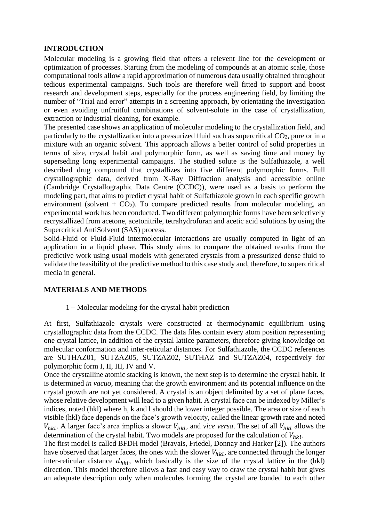## **INTRODUCTION**

Molecular modeling is a growing field that offers a relevent line for the development or optimization of processes. Starting from the modeling of compounds at an atomic scale, those computational tools allow a rapid approximation of numerous data usually obtained throughout tedious experimental campaigns. Such tools are therefore well fitted to support and boost research and development steps, especially for the process engineering field, by limiting the number of "Trial and error" attempts in a screening approach, by orientating the investigation or even avoiding unfruitful combinations of solvent-solute in the case of crystallization, extraction or industrial cleaning, for example.

The presented case shows an application of molecular modeling to the crystallization field, and particularly to the crystallization into a pressurized fluid such as supercritical  $CO<sub>2</sub>$ , pure or in a mixture with an organic solvent. This approach allows a better control of solid properties in terms of size, crystal habit and polymorphic form, as well as saving time and money by superseding long experimental campaigns. The studied solute is the Sulfathiazole, a well described drug compound that crystallizes into five different polymorphic forms. Full crystallographic data, derived from X-Ray Diffraction analysis and accessible online (Cambridge Crystallographic Data Centre (CCDC)), were used as a basis to perform the modeling part, that aims to predict crystal habit of Sulfathiazole grown in each specific growth environment (solvent +  $CO<sub>2</sub>$ ). To compare predicted results from molecular modeling, an experimental work has been conducted. Two different polymorphic forms have been selectively recrystallized from acetone, acetonitrile, tetrahydrofuran and acetic acid solutions by using the Supercritical AntiSolvent (SAS) process.

Solid-Fluid or Fluid-Fluid intermolecular interactions are usually computed in light of an application in a liquid phase. This study aims to compare the obtained results from the predictive work using usual models with generated crystals from a pressurized dense fluid to validate the feasibility of the predictive method to this case study and, therefore, to supercritical media in general.

## **MATERIALS AND METHODS**

## 1 – Molecular modeling for the crystal habit prediction

At first, Sulfathiazole crystals were constructed at thermodynamic equilibrium using crystallographic data from the CCDC. The data files contain every atom position representing one crystal lattice, in addition of the crystal lattice parameters, therefore giving knowledge on molecular conformation and inter-reticular distances. For Sulfathiazole, the CCDC references are SUTHAZ01, SUTZAZ05, SUTZAZ02, SUTHAZ and SUTZAZ04, respectively for polymorphic form I, II, III, IV and V.

Once the crystalline atomic stacking is known, the next step is to determine the crystal habit. It is determined *in vacuo*, meaning that the growth environment and its potential influence on the crystal growth are not yet considered. A crystal is an object delimited by a set of plane faces, whose relative development will lead to a given habit. A crystal face can be indexed by Miller's indices, noted (hkl) where h, k and l should the lower integer possible. The area or size of each visible (hkl) face depends on the face's growth velocity, called the linear growth rate and noted  $V_{hkl}$ . A larger face's area implies a slower  $V_{hkl}$ , and *vice versa*. The set of all  $V_{hkl}$  allows the determination of the crystal habit. Two models are proposed for the calculation of  $V_{hkl}$ .

The first model is called BFDH model (Bravais, Friedel, Donnay and Harker [2]). The authors have observed that larger faces, the ones with the slower  $V_{hkl}$ , are connected through the longer inter-reticular distance  $d_{hkl}$ , which basically is the size of the crystal lattice in the (hkl) direction. This model therefore allows a fast and easy way to draw the crystal habit but gives an adequate description only when molecules forming the crystal are bonded to each other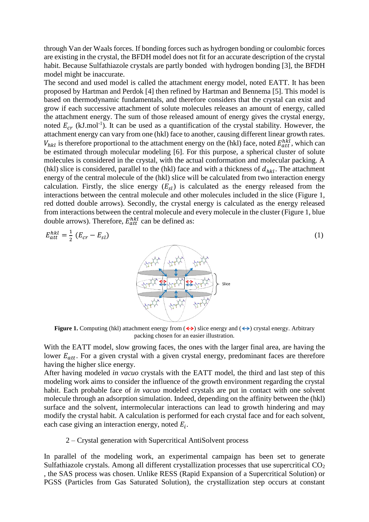through Van der Waals forces. If bonding forces such as hydrogen bonding or coulombic forces are existing in the crystal, the BFDH model does not fit for an accurate description of the crystal habit. Because Sulfathiazole crystals are partly bonded with hydrogen bonding [3], the BFDH model might be inaccurate.

The second and used model is called the attachment energy model, noted EATT. It has been proposed by Hartman and Perdok [4] then refined by Hartman and Bennema [5]. This model is based on thermodynamic fundamentals, and therefore considers that the crystal can exist and grow if each successive attachment of solute molecules releases an amount of energy, called the attachment energy. The sum of those released amount of energy gives the crystal energy, noted  $E_{cr}$  (kJ.mol<sup>-1</sup>). It can be used as a quantification of the crystal stability. However, the attachment energy can vary from one (hkl) face to another, causing different linear growth rates.  $V_{hkl}$  is therefore proportional to the attachment energy on the (hkl) face, noted  $E_{att}^{hkl}$ , which can be estimated through molecular modeling [6]. For this purpose, a spherical cluster of solute molecules is considered in the crystal, with the actual conformation and molecular packing. A (hkl) slice is considered, parallel to the (hkl) face and with a thickness of  $d_{hkl}$ . The attachment energy of the central molecule of the (hkl) slice will be calculated from two interaction energy calculation. Firstly, the slice energy  $(E_{\rm sl})$  is calculated as the energy released from the interactions between the central molecule and other molecules included in the slice (Figure 1, red dotted double arrows). Secondly, the crystal energy is calculated as the energy released from interactions between the central molecule and every molecule in the cluster (Figure 1, blue double arrows). Therefore,  $E_{att}^{hkl}$  can be defined as:

$$
E_{att}^{hkl} = \frac{1}{2} \left( E_{cr} - E_{sl} \right) \tag{1}
$$



**Figure 1.** Computing (hkl) attachment energy from  $(\leftrightarrow)$  slice energy and  $(\leftrightarrow)$  crystal energy. Arbitrary packing chosen for an easier illustration.

With the EATT model, slow growing faces, the ones with the larger final area, are having the lower  $E_{att}$ . For a given crystal with a given crystal energy, predominant faces are therefore having the higher slice energy.

After having modeled *in vacuo* crystals with the EATT model, the third and last step of this modeling work aims to consider the influence of the growth environment regarding the crystal habit. Each probable face of *in vacuo* modeled crystals are put in contact with one solvent molecule through an adsorption simulation. Indeed, depending on the affinity between the (hkl) surface and the solvent, intermolecular interactions can lead to growth hindering and may modify the crystal habit. A calculation is performed for each crystal face and for each solvent, each case giving an interaction energy, noted  $E_i$ .

### 2 – Crystal generation with Supercritical AntiSolvent process

In parallel of the modeling work, an experimental campaign has been set to generate Sulfathiazole crystals. Among all different crystallization processes that use supercritical  $CO<sub>2</sub>$ , the SAS process was chosen. Unlike RESS (Rapid Expansion of a Supercritical Solution) or PGSS (Particles from Gas Saturated Solution), the crystallization step occurs at constant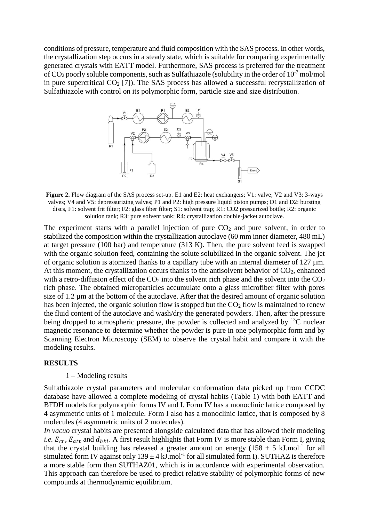conditions of pressure, temperature and fluid composition with the SAS process. In other words, the crystallization step occurs in a steady state, which is suitable for comparing experimentally generated crystals with EATT model. Furthermore, SAS process is preferred for the treatment of CO<sup>2</sup> poorly soluble components, such as Sulfathiazole (solubility in the order of 10-7 mol/mol in pure supercritical  $CO<sub>2</sub>$  [7]). The SAS process has allowed a successful recrystallization of Sulfathiazole with control on its polymorphic form, particle size and size distribution.



**Figure 2.** Flow diagram of the SAS process set-up. E1 and E2: heat exchangers; V1: valve; V2 and V3: 3-ways valves; V4 and V5: depressurizing valves; P1 and P2: high pressure liquid piston pumps; D1 and D2: bursting discs, F1: solvent frit filter; F2: glass fiber filter; S1: solvent trap; R1: CO2 pressurized bottle; R2: organic solution tank; R3: pure solvent tank; R4: crystallization double-jacket autoclave.

The experiment starts with a parallel injection of pure  $CO<sub>2</sub>$  and pure solvent, in order to stabilized the composition within the crystallization autoclave (60 mm inner diameter, 480 mL) at target pressure (100 bar) and temperature (313 K). Then, the pure solvent feed is swapped with the organic solution feed, containing the solute solubilized in the organic solvent. The jet of organic solution is atomized thanks to a capillary tube with an internal diameter of  $127 \mu m$ . At this moment, the crystallization occurs thanks to the antisolvent behavior of  $CO<sub>2</sub>$ , enhanced with a retro-diffusion effect of the  $CO<sub>2</sub>$  into the solvent rich phase and the solvent into the  $CO<sub>2</sub>$ rich phase. The obtained microparticles accumulate onto a glass microfiber filter with pores size of 1.2  $\mu$ m at the bottom of the autoclave. After that the desired amount of organic solution has been injected, the organic solution flow is stopped but the  $CO<sub>2</sub>$  flow is maintained to renew the fluid content of the autoclave and wash/dry the generated powders. Then, after the pressure being dropped to atmospheric pressure, the powder is collected and analyzed by  $^{13}$ C nuclear magnetic resonance to determine whether the powder is pure in one polymorphic form and by Scanning Electron Microscopy (SEM) to observe the crystal habit and compare it with the modeling results.

#### **RESULTS**

#### 1 – Modeling results

Sulfathiazole crystal parameters and molecular conformation data picked up from CCDC database have allowed a complete modeling of crystal habits (Table 1) with both EATT and BFDH models for polymorphic forms IV and I. Form IV has a monoclinic lattice composed by 4 asymmetric units of 1 molecule. Form I also has a monoclinic lattice, that is composed by 8 molecules (4 asymmetric units of 2 molecules).

*In vacuo* crystal habits are presented alongside calculated data that has allowed their modeling *i.e.*  $E_{cr}$ ,  $E_{att}$  and  $d_{hkl}$ . A first result highlights that Form IV is more stable than Form I, giving that the crystal building has released a greater amount on energy (158  $\pm$  5 kJ.mol<sup>-1</sup> for all simulated form IV against only  $139 \pm 4$  kJ.mol<sup>-1</sup> for all simulated form I). SUTHAZ is therefore a more stable form than SUTHAZ01, which is in accordance with experimental observation. This approach can therefore be used to predict relative stability of polymorphic forms of new compounds at thermodynamic equilibrium.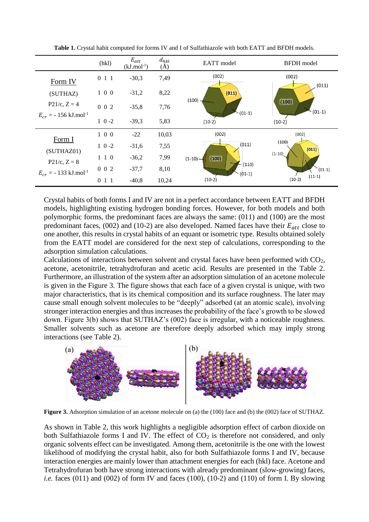|                                                                     | (hkl)      | $E_{att}$<br>$(kJ$ .mol <sup>-1</sup> ) | $d_{hkl}$<br>(A) | EATT model                                        | <b>BFDH</b> model                                              |  |
|---------------------------------------------------------------------|------------|-----------------------------------------|------------------|---------------------------------------------------|----------------------------------------------------------------|--|
| Form IV                                                             | 011        | $-30,3$                                 | 7,49             | (002)                                             | (002)<br>(011)<br>(100)<br>$(01-1)$                            |  |
| (SUTHAZ)<br>$P21/c, Z = 4$<br>$E_{cr}$ = - 156 kJ.mol <sup>-1</sup> | $1\ 0\ 0$  | $-31,2$                                 | 8,22             | (011)                                             |                                                                |  |
|                                                                     | $0\ 0\ 2$  | $-35,8$                                 | 7,76             | $(100) -$<br>$(01-1)$                             |                                                                |  |
|                                                                     | $1 \ 0 -2$ | $-39,3$                                 | 5,83             | $(10-2)$                                          | $(10-2)$                                                       |  |
| Form I                                                              | $1\ 0\ 0$  | $-22$                                   | 10,03            | (002)                                             | (002)                                                          |  |
| (SUTHAZ01)                                                          | $1 \ 0 -2$ | $-31,6$                                 | 7,55             | (011)<br>(100)<br>$(1-10)$ –<br>(110)<br>$(01-1)$ | (100)<br>(011)<br>$(1-10)$<br>$(01-1)$<br>$(11-1)$<br>$(10-2)$ |  |
| $P21/c, Z = 8$                                                      | $1\;1\;0$  | $-36,2$                                 | 7,99             |                                                   |                                                                |  |
| $E_{cr}$ = - 133 kJ.mol <sup>-1</sup>                               | $0\,0\,2$  | $-37,7$                                 | 8,10             |                                                   |                                                                |  |
|                                                                     | 011        | $-40,8$                                 | 10,24            | $(10-2)$                                          |                                                                |  |

**Table 1.** Crystal habit computed for forms IV and I of Sulfathiazole with both EATT and BFDH models.

Crystal habits of both forms I and IV are not in a perfect accordance between EATT and BFDH models, highlighting existing hydrogen bonding forces. However, for both models and both polymorphic forms, the predominant faces are always the same: (011) and (100) are the most predominant faces, (002) and (10-2) are also developed. Named faces have their  $E_{att}$  close to one another, this results in crystal habits of an equant or isometric type. Results obtained solely from the EATT model are considered for the next step of calculations, corresponding to the adsorption simulation calculations.

Calculations of interactions between solvent and crystal faces have been performed with CO2, acetone, acetonitrile, tetrahydrofuran and acetic acid. Results are presented in the Table 2. Furthermore, an illustration of the system after an adsorption simulation of an acetone molecule is given in the Figure 3. The figure shows that each face of a given crystal is unique, with two major characteristics, that is its chemical composition and its surface roughness. The later may cause small enough solvent molecules to be "deeply" adsorbed (at an atomic scale), involving stronger interaction energies and thus increases the probability of the face's growth to be slowed down. Figure 3(b) shows that SUTHAZ's (002) face is irregular, with a noticeable roughness. Smaller solvents such as acetone are therefore deeply adsorbed which may imply strong interactions (see Table 2).



**Figure 3.** Adsorption simulation of an acetone molecule on (a) the (100) face and (b) the (002) face of SUTHAZ.

As shown in Table 2, this work highlights a negligible adsorption effect of carbon dioxide on both Sulfathiazole forms I and IV. The effect of  $CO<sub>2</sub>$  is therefore not considered, and only organic solvents effect can be investigated. Among them, acetonitrile is the one with the lowest likelihood of modifying the crystal habit, also for both Sulfathiazole forms I and IV, because interaction energies are mainly lower than attachment energies for each (hkl) face. Acetone and Tetrahydrofuran both have strong interactions with already predominant (slow-growing) faces, *i.e.* faces  $(011)$  and  $(002)$  of form IV and faces  $(100)$ ,  $(10-2)$  and  $(110)$  of form I. By slowing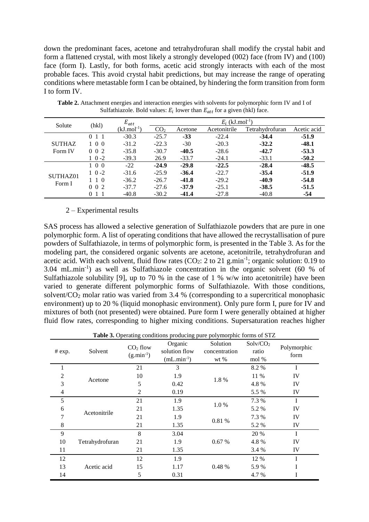down the predominant faces, acetone and tetrahydrofuran shall modify the crystal habit and form a flattened crystal, with most likely a strongly developed (002) face (from IV) and (100) face (form I). Lastly, for both forms, acetic acid strongly interacts with each of the most probable faces. This avoid crystal habit predictions, but may increase the range of operating conditions where metastable form I can be obtained, by hindering the form transition from form I to form IV.

| Solute                   | (hkl)         | $E_{att}$                  | $E_i$ (kJ.mol <sup>-1</sup> ) |         |              |                 |             |
|--------------------------|---------------|----------------------------|-------------------------------|---------|--------------|-----------------|-------------|
|                          |               | $(kJ$ .mol <sup>-1</sup> ) | CO <sub>2</sub>               | Acetone | Acetonitrile | Tetrahydrofuran | Acetic acid |
| <b>SUTHAZ</b><br>Form IV | 011           | $-30.3$                    | $-25.7$                       | $-33$   | $-22.4$      | $-34.4$         | $-51.9$     |
|                          | $1 \; 0 \; 0$ | $-31.2$                    | $-22.3$                       | $-30$   | $-20.3$      | $-32.2$         | $-48.1$     |
|                          | $0 \t0 \t2$   | $-35.8$                    | $-30.7$                       | $-40.5$ | $-28.6$      | $-42.7$         | $-53.3$     |
|                          | $1 \ 0 -2$    | $-39.3$                    | 26.9                          | $-33.7$ | $-24.1$      | $-33.1$         | $-50.2$     |
| SUTHAZ01<br>Form I       | 1 0 0         | $-22$                      | $-24.9$                       | $-29.8$ | $-22.5$      | $-28.4$         | $-48.5$     |
|                          | $1 \ 0 -2$    | $-31.6$                    | $-25.9$                       | $-36.4$ | $-22.7$      | $-35.4$         | $-51.9$     |
|                          | $1\;1\;0$     | $-36.2$                    | $-26.7$                       | $-41.8$ | $-29.2$      | $-40.9$         | $-54.8$     |
|                          | $0 \t0 \t2$   | $-37.7$                    | $-27.6$                       | $-37.9$ | $-25.1$      | $-38.5$         | $-51.5$     |
|                          | $0 \; 1 \; 1$ | $-40.8$                    | $-30.2$                       | $-41.4$ | $-27.8$      | $-40.8$         | $-54$       |

**Table 2.** Attachment energies and interaction energies with solvents for polymorphic form IV and I of Sulfathiazole. Bold values:  $E_i$  lower than  $E_{att}$  for a given (hkl) face.

### 2 – Experimental results

SAS process has allowed a selective generation of Sulfathiazole powders that are pure in one polymorphic form. A list of operating conditions that have allowed the recrystallisation of pure powders of Sulfathiazole, in terms of polymorphic form, is presented in the Table 3. As for the modeling part, the considered organic solvents are acetone, acetonitrile, tetrahydrofuran and acetic acid. With each solvent, fluid flow rates  $(CO_2: 2$  to 21 g.min<sup>-1</sup>; organic solution: 0.19 to 3.04 mL.min-1 ) as well as Sulfathiazole concentration in the organic solvent (60 % of Sulfathiazole solubility [9], up to 70 % in the case of 1 % w/w into acetonitrile) have been varied to generate different polymorphic forms of Sulfathiazole. With those conditions, solvent/ $CO<sub>2</sub>$  molar ratio was varied from 3.4 % (corresponding to a supercritical monophasic environment) up to 20 % (liquid monophasic environment). Only pure form I, pure for IV and mixtures of both (not presented) were obtained. Pure form I were generally obtained at higher fluid flow rates, corresponding to higher mixing conditions. Supersaturation reaches higher

**Table 3.** Operating conditions producing pure polymorphic forms of STZ

| # exp.         | Solvent                     | $CO2$ flow<br>$(g.min-1)$ | $\circ$<br>Organic<br>solution flow<br>$(mL.min-1)$ | Solution<br>concentration<br>$wt$ % | Solv/CO <sub>2</sub><br>ratio<br>mol % | Polymorphic<br>form |
|----------------|-----------------------------|---------------------------|-----------------------------------------------------|-------------------------------------|----------------------------------------|---------------------|
| 1              | Acetone                     | 21                        | 3                                                   | 1.8%                                | 8.2 %                                  | I                   |
| 2              |                             | 10                        | 1.9                                                 |                                     | 11 %                                   | IV                  |
| 3              |                             | 5                         | 0.42                                                |                                     | 4.8%                                   | IV                  |
| $\overline{4}$ |                             | 2                         | 0.19                                                |                                     | 5.5 %                                  | IV                  |
| 5              | 6<br>Acetonitrile<br>7<br>8 | 21                        | 1.9                                                 | 1.0 %                               | 7.3 %                                  | I                   |
|                |                             | 21                        | 1.35                                                |                                     | 5.2 %                                  | IV                  |
|                |                             | 21                        | 1.9                                                 |                                     | 7.3 %                                  | IV                  |
|                |                             | 21                        | 1.35                                                | 0.81 %                              | 5.2 %                                  | IV                  |
| 9              | Tetrahydrofuran             | 8                         | 3.04                                                | 0.67%                               | 20 %                                   | $\mathbf I$         |
| 10             |                             | 21                        | 1.9                                                 |                                     | 4.8%                                   | IV                  |
| 11             |                             | 21                        | 1.35                                                |                                     | 3.4 %                                  | IV                  |
| 12             | Acetic acid                 | 12                        | 1.9                                                 |                                     | 12 %                                   | I                   |
| 13             |                             | 15                        | 1.17                                                | 0.48 %                              | 5.9%                                   | I                   |
| 14             |                             | 5                         | 0.31                                                |                                     | 4.7 %                                  | I                   |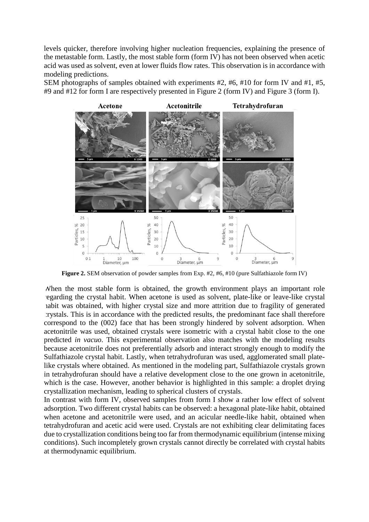levels quicker, therefore involving higher nucleation frequencies, explaining the presence of the metastable form. Lastly, the most stable form (form IV) has not been observed when acetic acid was used as solvent, even at lower fluids flow rates. This observation is in accordance with modeling predictions.

SEM photographs of samples obtained with experiments #2, #6, #10 for form IV and #1, #5, #9 and #12 for form I are respectively presented in Figure 2 (form IV) and Figure 3 (form I).



**Figure 2.** SEM observation of powder samples from Exp. #2, #6, #10 (pure Sulfathiazole form IV)

When the most stable form is obtained, the growth environment plays an important role regarding the crystal habit. When acetone is used as solvent, plate-like or leave-like crystal habit was obtained, with higher crystal size and more attrition due to fragility of generated crystals. This is in accordance with the predicted results, the predominant face shall therefore correspond to the (002) face that has been strongly hindered by solvent adsorption. When acetonitrile was used, obtained crystals were isometric with a crystal habit close to the one predicted *in vacuo*. This experimental observation also matches with the modeling results because acetonitrile does not preferentially adsorb and interact strongly enough to modify the Sulfathiazole crystal habit. Lastly, when tetrahydrofuran was used, agglomerated small platelike crystals where obtained. As mentioned in the modeling part, Sulfathiazole crystals grown in tetrahydrofuran should have a relative development close to the one grown in acetonitrile, which is the case. However, another behavior is highlighted in this sample: a droplet drying crystallization mechanism, leading to spherical clusters of crystals.

In contrast with form IV, observed samples from form I show a rather low effect of solvent adsorption. Two different crystal habits can be observed: a hexagonal plate-like habit, obtained when acetone and acetonitrile were used, and an acicular needle-like habit, obtained when tetrahydrofuran and acetic acid were used. Crystals are not exhibiting clear delimitating faces due to crystallization conditions being too far from thermodynamic equilibrium (intense mixing conditions). Such incompletely grown crystals cannot directly be correlated with crystal habits at thermodynamic equilibrium.